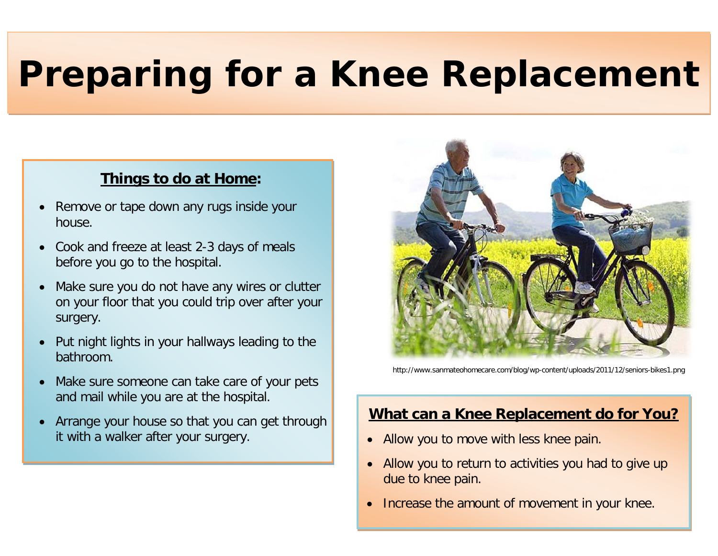# **Preparing for a Knee Replacement**

# **Things to do at Home:**

- Remove or tape down any rugs inside your house.
- Cook and freeze at least 2-3 days of meals before you go to the hospital.
- Make sure you do not have any wires or clutter on your floor that you could trip over after your surgery.
- Put night lights in your hallways leading to the bathroom.
- Make sure someone can take care of your pets and mail while you are at the hospital.
- Arrange your house so that you can get through it with a walker after your surgery.



http://www.sanmateohomecare.com/blog/wp-content/uploads/2011/12/seniors-bikes1.png

# **What can a Knee Replacement do for You?**

- Allow you to move with less knee pain.
- Allow you to return to activities you had to give up due to knee pain.
- Increase the amount of movement in your knee.